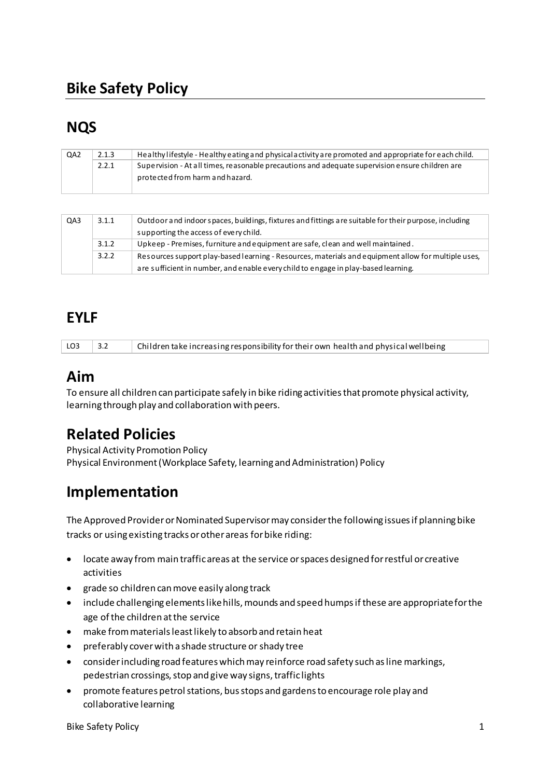# **Bike Safety Policy**

# **NQS**

| QA <sub>2</sub> | 2.1.3 | Healthy lifestyle - Healthy eating and physical activity are promoted and appropriate for each child. |
|-----------------|-------|-------------------------------------------------------------------------------------------------------|
|                 | 2.2.1 | Supervision - At all times, reasonable precautions and adequate supervision ensure children are       |
|                 |       | protected from harm and hazard.                                                                       |
|                 |       |                                                                                                       |

| QA3 | 3.1.1 | Outdoor and indoor spaces, buildings, fixtures and fittings are suitable for their purpose, including<br>supporting the access of every child. |
|-----|-------|------------------------------------------------------------------------------------------------------------------------------------------------|
|     | 3.1.2 | Upkeep - Premises, furniture and equipment are safe, clean and well maintained.                                                                |
|     | 3.2.2 | Resources support play-based learning - Resources, materials and equipment allow for multiple uses,                                            |
|     |       | are sufficient in number, and enable every child to engage in play-based learning.                                                             |

# **EYLF**

| $LO3$ 3.2 | Children take increasing responsibility for their own health and physical wellbeing |
|-----------|-------------------------------------------------------------------------------------|
|           |                                                                                     |

### **Aim**

To ensure all children can participate safely in bike riding activities that promote physical activity, learning through play and collaboration with peers.

# **Related Policies**

Physical Activity Promotion Policy Physical Environment (Workplace Safety, learning and Administration) Policy

## **Implementation**

The Approved Provider or Nominated Supervisor may consider the following issues if planning bike tracks or using existing tracks or other areas for bike riding:

- locate away from main traffic areas at the service or spaces designed for restful or creative activities
- grade so children can move easily along track
- include challenging elements like hills, mounds and speed humps if these are appropriate for the age of the children at the service
- make from materials least likely to absorb and retain heat
- preferably cover with a shade structure or shady tree
- consider including road features which may reinforce road safety such as line markings, pedestrian crossings, stop and give way signs, traffic lights
- promote features petrol stations, bus stops and gardens to encourage role play and collaborative learning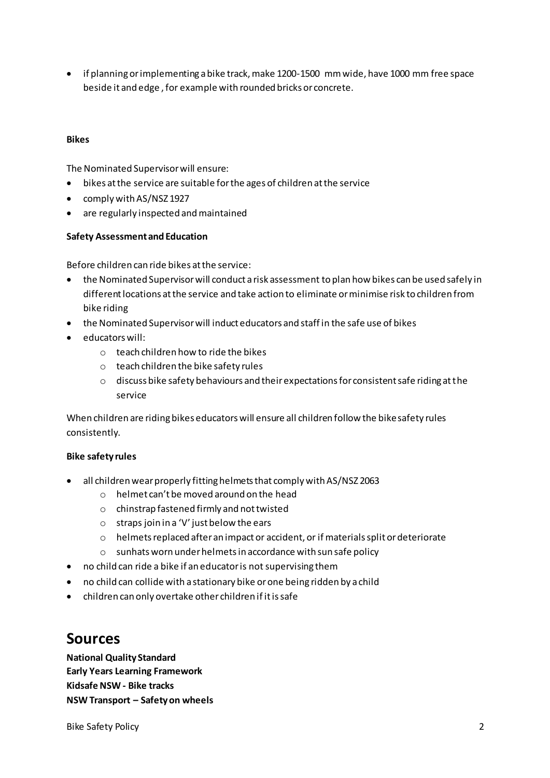• if planning or implementing a bike track, make 1200-1500 mm wide, have 1000 mm free space beside it and edge , for example with rounded bricks or concrete.

#### **Bikes**

The Nominated Supervisor will ensure:

- bikes at the service are suitable for the ages of children at the service
- comply with AS/NSZ 1927
- are regularly inspected and maintained

#### **Safety Assessment and Education**

Before children can ride bikes at the service:

- the Nominated Supervisor will conduct a risk assessment to plan how bikes can be used safely in different locations at the service and take action to eliminate or minimise risk to children from bike riding
- the Nominated Supervisor will induct educators and staff in the safe use of bikes
- educators will:
	- o teach children how to ride the bikes
	- o teach children the bike safety rules
	- o discuss bike safety behaviours and their expectations for consistent safe riding at the service

When children are riding bikes educators will ensure all children follow the bike safety rules consistently.

#### **Bike safety rules**

- all children wear properly fitting helmets that comply with AS/NSZ 2063
	- $\circ$  helmet can't be moved around on the head
	- o chinstrap fastened firmly and not twisted
	- $\circ$  straps join in a 'V' just below the ears
	- o helmets replaced after an impact or accident, or if materials split or deteriorate
	- o sunhats worn under helmets in accordance with sun safe policy
- no child can ride a bike if an educator is not supervising them
- no child can collide with a stationary bike or one being ridden by a child
- children can only overtake other children if it is safe

### **Sources**

**National Quality Standard Early Years Learning Framework Kidsafe NSW - Bike tracks NSW Transport – Safety on wheels** 

Bike Safety Policy 2